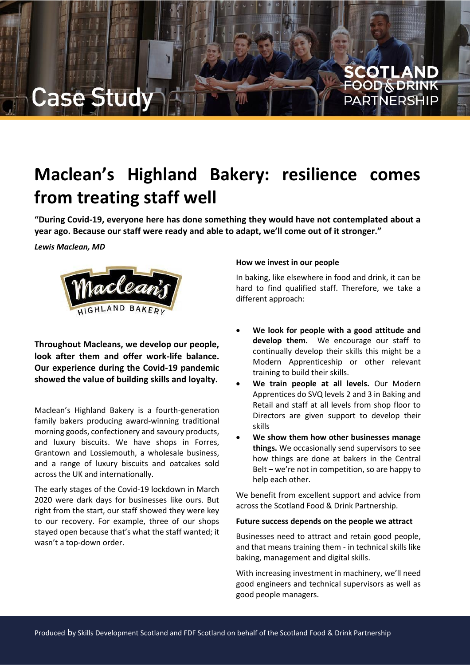

# **Maclean's Highland Bakery: resilience comes from treating staff well**

**"During Covid-19, everyone here has done something they would have not contemplated about a year ago. Because our staff were ready and able to adapt, we'll come out of it stronger."**

*Lewis Maclean, MD*



**Throughout Macleans, we develop our people, look after them and offer work-life balance. Our experience during the Covid-19 pandemic showed the value of building skills and loyalty.**

Maclean's Highland Bakery is a fourth-generation family bakers producing award-winning traditional morning goods, confectionery and savoury products, and luxury biscuits. We have shops in Forres, Grantown and Lossiemouth, a wholesale business, and a range of luxury biscuits and oatcakes sold across the UK and internationally.

The early stages of the Covid-19 lockdown in March 2020 were dark days for businesses like ours. But right from the start, our staff showed they were key to our recovery. For example, three of our shops stayed open because that's what the staff wanted; it wasn't a top-down order.

## **How we invest in our people**

In baking, like elsewhere in food and drink, it can be hard to find qualified staff. Therefore, we take a different approach:

- **We look for people with a good attitude and develop them.** We encourage our staff to continually develop their skills this might be a Modern Apprenticeship or other relevant training to build their skills.
- **We train people at all levels.** Our Modern Apprentices do SVQ levels 2 and 3 in Baking and Retail and staff at all levels from shop floor to Directors are given support to develop their skills
- **We show them how other businesses manage things.** We occasionally send supervisors to see how things are done at bakers in the Central Belt – we're not in competition, so are happy to help each other.

We benefit from excellent support and advice from across the Scotland Food & Drink Partnership.

## **Future success depends on the people we attract**

Businesses need to attract and retain good people, and that means training them - in technical skills like baking, management and digital skills.

With increasing investment in machinery, we'll need good engineers and technical supervisors as well as good people managers.